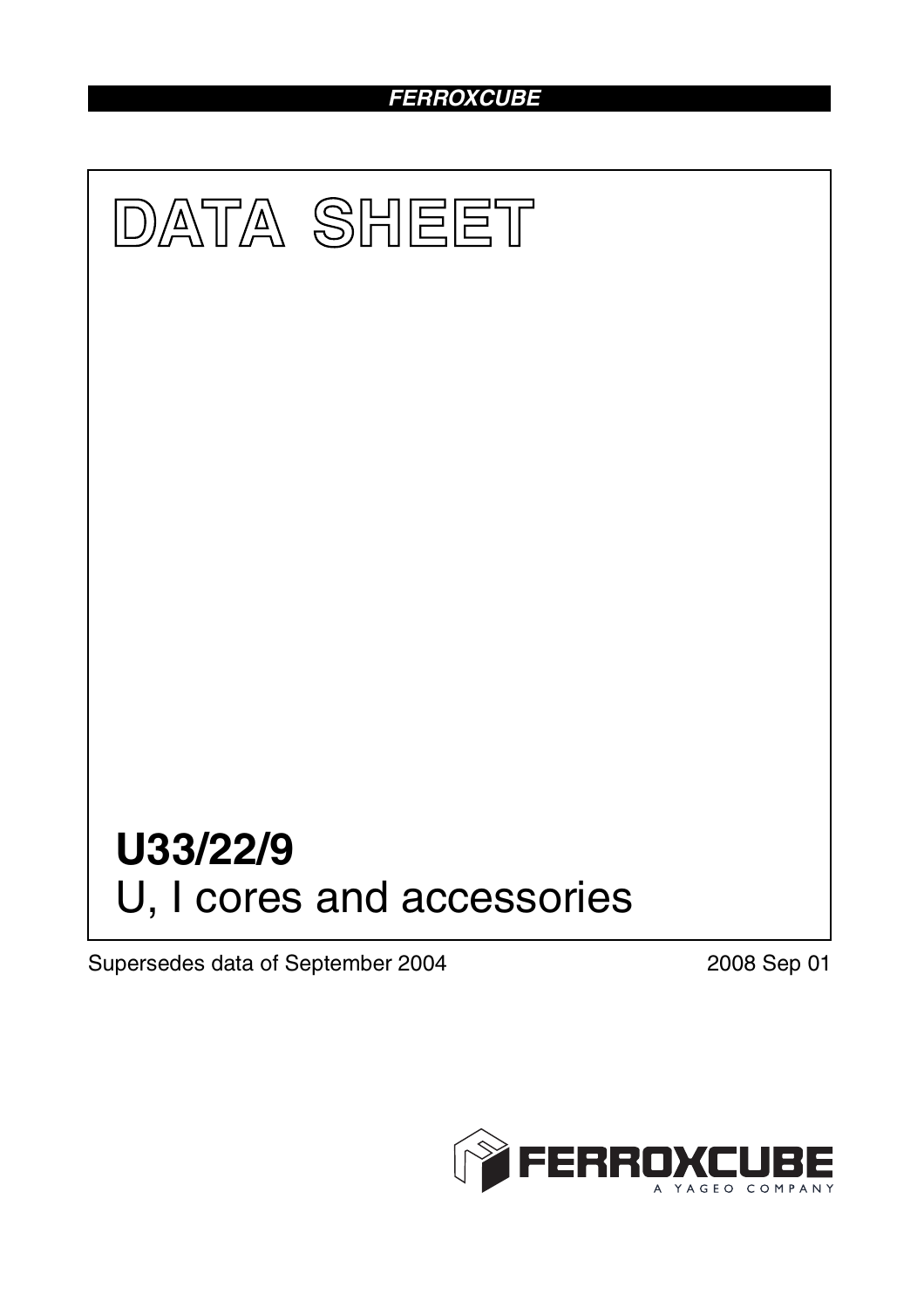### *FERROXCUBE*



Supersedes data of September 2004 2008 Sep 01

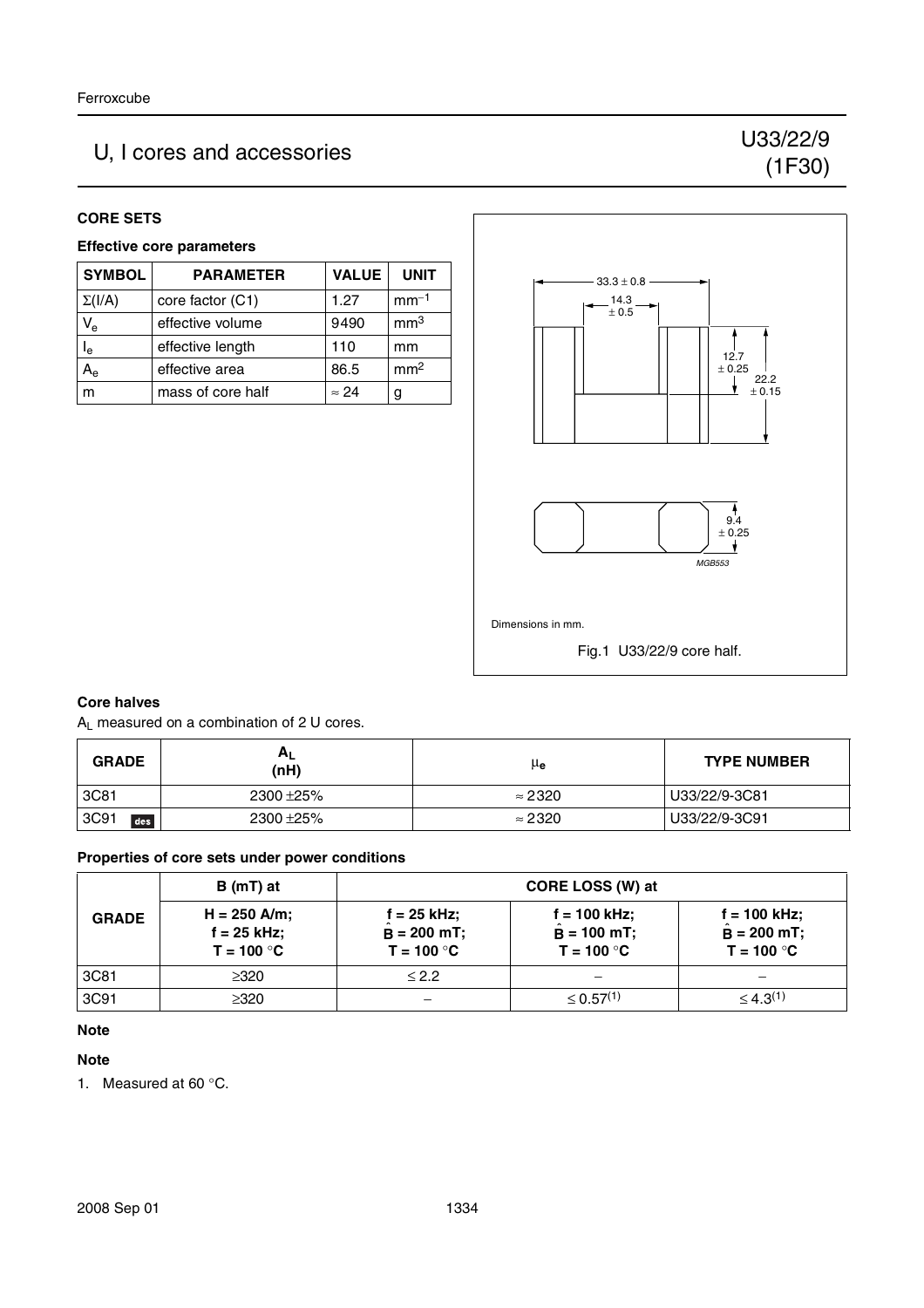## U, I cores and accessories U33/22/9

# (1F30)

#### **CORE SETS**

#### **Effective core parameters**

| <b>SYMBOL</b>             | <b>PARAMETER</b>  | <b>VALUE</b> | <b>UNIT</b>     |
|---------------------------|-------------------|--------------|-----------------|
| $\Sigma(I/A)$             | core factor (C1)  | 1.27         | $mm-1$          |
| $V_{e}$                   | effective volume  | 9490         | mm <sup>3</sup> |
| $\mathsf{I}_{\mathsf{e}}$ | effective length  | 110          | mm              |
| $A_{\rm e}$               | effective area    | 86.5         | mm <sup>2</sup> |
|                           | mass of core half | $\approx$ 24 |                 |



#### **Core halves**

A<sub>L</sub> measured on a combination of 2 U cores.

| <b>GRADE</b> | $A_L$<br>(nH) | μe             | <b>TYPE NUMBER</b> |
|--------------|---------------|----------------|--------------------|
| 3C81         | 2300 ± 25%    | $\approx$ 2320 | U33/22/9-3C81      |
| 3C91<br>des  | 2300 ± 25%    | $\approx$ 2320 | U33/22/9-3C91      |

#### **Properties of core sets under power conditions**

|              | $B(mT)$ at                                      |                                                | CORE LOSS (W) at                                |                                                 |
|--------------|-------------------------------------------------|------------------------------------------------|-------------------------------------------------|-------------------------------------------------|
| <b>GRADE</b> | $H = 250$ A/m;<br>$f = 25$ kHz;<br>$T = 100 °C$ | $f = 25$ kHz;<br>$B = 200$ mT;<br>$T = 100 °C$ | $f = 100$ kHz;<br>$B = 100$ mT;<br>$T = 100 °C$ | $f = 100$ kHz;<br>$B = 200$ mT;<br>$T = 100 °C$ |
| 3C81         | ≥320                                            | $\leq$ 2.2                                     |                                                 |                                                 |
| 3C91         | $\geq$ 320                                      |                                                | $\leq 0.57^{(1)}$                               | $\leq 4.3^{(1)}$                                |

#### **Note**

#### **Note**

1. Measured at 60 °C.